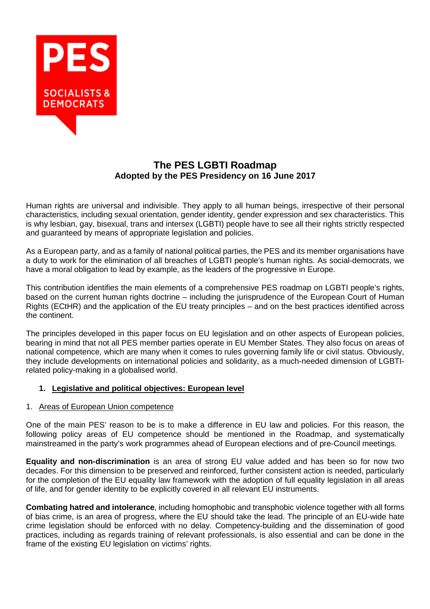

# **The PES LGBTI Roadmap Adopted by the PES Presidency on 16 June 2017**

Human rights are universal and indivisible. They apply to all human beings, irrespective of their personal characteristics, including sexual orientation, gender identity, gender expression and sex characteristics. This is why lesbian, gay, bisexual, trans and intersex (LGBTI) people have to see all their rights strictly respected and guaranteed by means of appropriate legislation and policies.

As a European party, and as a family of national political parties, the PES and its member organisations have a duty to work for the elimination of all breaches of LGBTI people's human rights. As social-democrats, we have a moral obligation to lead by example, as the leaders of the progressive in Europe.

This contribution identifies the main elements of a comprehensive PES roadmap on LGBTI people's rights, based on the current human rights doctrine – including the jurisprudence of the European Court of Human Rights (ECtHR) and the application of the EU treaty principles – and on the best practices identified across the continent.

The principles developed in this paper focus on EU legislation and on other aspects of European policies, bearing in mind that not all PES member parties operate in EU Member States. They also focus on areas of national competence, which are many when it comes to rules governing family life or civil status. Obviously, they include developments on international policies and solidarity, as a much-needed dimension of LGBTIrelated policy-making in a globalised world.

### **1. Legislative and political objectives: European level**

#### 1. Areas of European Union competence

One of the main PES' reason to be is to make a difference in EU law and policies. For this reason, the following policy areas of EU competence should be mentioned in the Roadmap, and systematically mainstreamed in the party's work programmes ahead of European elections and of pre-Council meetings.

**Equality and non-discrimination** is an area of strong EU value added and has been so for now two decades. For this dimension to be preserved and reinforced, further consistent action is needed, particularly for the completion of the EU equality law framework with the adoption of full equality legislation in all areas of life, and for gender identity to be explicitly covered in all relevant EU instruments.

**Combating hatred and intolerance**, including homophobic and transphobic violence together with all forms of bias crime, is an area of progress, where the EU should take the lead. The principle of an EU-wide hate crime legislation should be enforced with no delay. Competency-building and the dissemination of good practices, including as regards training of relevant professionals, is also essential and can be done in the frame of the existing EU legislation on victims' rights.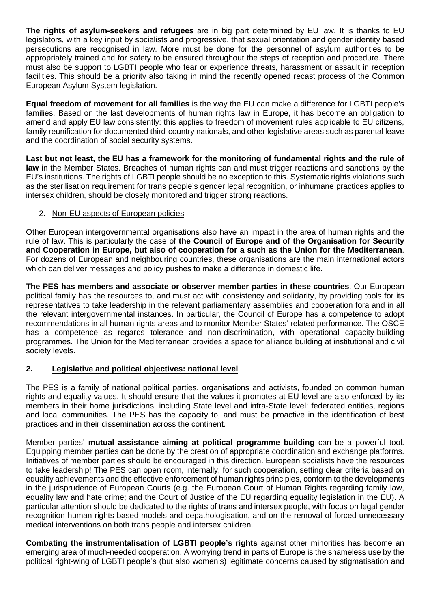**The rights of asylum-seekers and refugees** are in big part determined by EU law. It is thanks to EU legislators, with a key input by socialists and progressive, that sexual orientation and gender identity based persecutions are recognised in law. More must be done for the personnel of asylum authorities to be appropriately trained and for safety to be ensured throughout the steps of reception and procedure. There must also be support to LGBTI people who fear or experience threats, harassment or assault in reception facilities. This should be a priority also taking in mind the recently opened recast process of the Common European Asylum System legislation.

**Equal freedom of movement for all families** is the way the EU can make a difference for LGBTI people's families. Based on the last developments of human rights law in Europe, it has become an obligation to amend and apply EU law consistently: this applies to freedom of movement rules applicable to EU citizens, family reunification for documented third-country nationals, and other legislative areas such as parental leave and the coordination of social security systems.

**Last but not least, the EU has a framework for the monitoring of fundamental rights and the rule of law** in the Member States. Breaches of human rights can and must trigger reactions and sanctions by the EU's institutions. The rights of LGBTI people should be no exception to this. Systematic rights violations such as the sterilisation requirement for trans people's gender legal recognition, or inhumane practices applies to intersex children, should be closely monitored and trigger strong reactions.

### 2. Non-EU aspects of European policies

Other European intergovernmental organisations also have an impact in the area of human rights and the rule of law. This is particularly the case of **the Council of Europe and of the Organisation for Security and Cooperation in Europe, but also of cooperation for a such as the Union for the Mediterranean**. For dozens of European and neighbouring countries, these organisations are the main international actors which can deliver messages and policy pushes to make a difference in domestic life.

**The PES has members and associate or observer member parties in these countries**. Our European political family has the resources to, and must act with consistency and solidarity, by providing tools for its representatives to take leadership in the relevant parliamentary assemblies and cooperation fora and in all the relevant intergovernmental instances. In particular, the Council of Europe has a competence to adopt recommendations in all human rights areas and to monitor Member States' related performance. The OSCE has a competence as regards tolerance and non-discrimination, with operational capacity-building programmes. The Union for the Mediterranean provides a space for alliance building at institutional and civil society levels.

### **2. Legislative and political objectives: national level**

The PES is a family of national political parties, organisations and activists, founded on common human rights and equality values. It should ensure that the values it promotes at EU level are also enforced by its members in their home jurisdictions, including State level and infra-State level: federated entities, regions and local communities. The PES has the capacity to, and must be proactive in the identification of best practices and in their dissemination across the continent.

Member parties' **mutual assistance aiming at political programme building** can be a powerful tool. Equipping member parties can be done by the creation of appropriate coordination and exchange platforms. Initiatives of member parties should be encouraged in this direction. European socialists have the resources to take leadership! The PES can open room, internally, for such cooperation, setting clear criteria based on equality achievements and the effective enforcement of human rights principles, conform to the developments in the jurisprudence of European Courts (e.g. the European Court of Human Rights regarding family law, equality law and hate crime; and the Court of Justice of the EU regarding equality legislation in the EU). A particular attention should be dedicated to the rights of trans and intersex people, with focus on legal gender recognition human rights based models and depathologisation, and on the removal of forced unnecessary medical interventions on both trans people and intersex children.

**Combating the instrumentalisation of LGBTI people's rights** against other minorities has become an emerging area of much-needed cooperation. A worrying trend in parts of Europe is the shameless use by the political right-wing of LGBTI people's (but also women's) legitimate concerns caused by stigmatisation and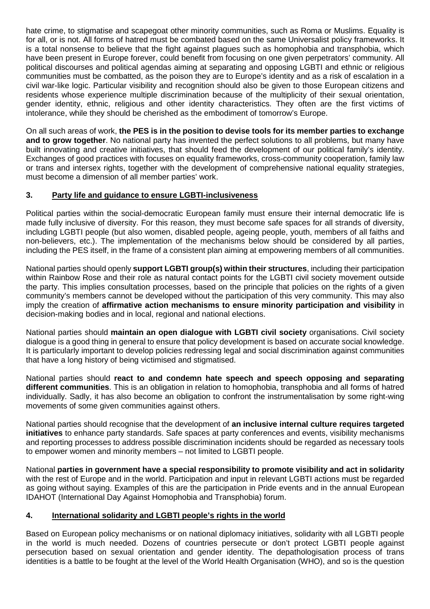hate crime, to stigmatise and scapegoat other minority communities, such as Roma or Muslims. Equality is for all, or is not. All forms of hatred must be combated based on the same Universalist policy frameworks. It is a total nonsense to believe that the fight against plagues such as homophobia and transphobia, which have been present in Europe forever, could benefit from focusing on one given perpetrators' community. All political discourses and political agendas aiming at separating and opposing LGBTI and ethnic or religious communities must be combatted, as the poison they are to Europe's identity and as a risk of escalation in a civil war-like logic. Particular visibility and recognition should also be given to those European citizens and residents whose experience multiple discrimination because of the multiplicity of their sexual orientation, gender identity, ethnic, religious and other identity characteristics. They often are the first victims of intolerance, while they should be cherished as the embodiment of tomorrow's Europe.

On all such areas of work, **the PES is in the position to devise tools for its member parties to exchange and to grow together**. No national party has invented the perfect solutions to all problems, but many have built innovating and creative initiatives, that should feed the development of our political family's identity. Exchanges of good practices with focuses on equality frameworks, cross-community cooperation, family law or trans and intersex rights, together with the development of comprehensive national equality strategies, must become a dimension of all member parties' work.

## **3. Party life and guidance to ensure LGBTI-inclusiveness**

Political parties within the social-democratic European family must ensure their internal democratic life is made fully inclusive of diversity. For this reason, they must become safe spaces for all strands of diversity, including LGBTI people (but also women, disabled people, ageing people, youth, members of all faiths and non-believers, etc.). The implementation of the mechanisms below should be considered by all parties, including the PES itself, in the frame of a consistent plan aiming at empowering members of all communities.

National parties should openly **support LGBTI group(s) within their structures**, including their participation within Rainbow Rose and their role as natural contact points for the LGBTI civil society movement outside the party. This implies consultation processes, based on the principle that policies on the rights of a given community's members cannot be developed without the participation of this very community. This may also imply the creation of **affirmative action mechanisms to ensure minority participation and visibility** in decision-making bodies and in local, regional and national elections.

National parties should **maintain an open dialogue with LGBTI civil society** organisations. Civil society dialogue is a good thing in general to ensure that policy development is based on accurate social knowledge. It is particularly important to develop policies redressing legal and social discrimination against communities that have a long history of being victimised and stigmatised.

National parties should **react to and condemn hate speech and speech opposing and separating different communities**. This is an obligation in relation to homophobia, transphobia and all forms of hatred individually. Sadly, it has also become an obligation to confront the instrumentalisation by some right-wing movements of some given communities against others.

National parties should recognise that the development of **an inclusive internal culture requires targeted initiatives** to enhance party standards. Safe spaces at party conferences and events, visibility mechanisms and reporting processes to address possible discrimination incidents should be regarded as necessary tools to empower women and minority members – not limited to LGBTI people.

National **parties in government have a special responsibility to promote visibility and act in solidarity** with the rest of Europe and in the world. Participation and input in relevant LGBTI actions must be regarded as going without saying. Examples of this are the participation in Pride events and in the annual European IDAHOT (International Day Against Homophobia and Transphobia) forum.

### **4. International solidarity and LGBTI people's rights in the world**

Based on European policy mechanisms or on national diplomacy initiatives, solidarity with all LGBTI people in the world is much needed. Dozens of countries persecute or don't protect LGBTI people against persecution based on sexual orientation and gender identity. The depathologisation process of trans identities is a battle to be fought at the level of the World Health Organisation (WHO), and so is the question